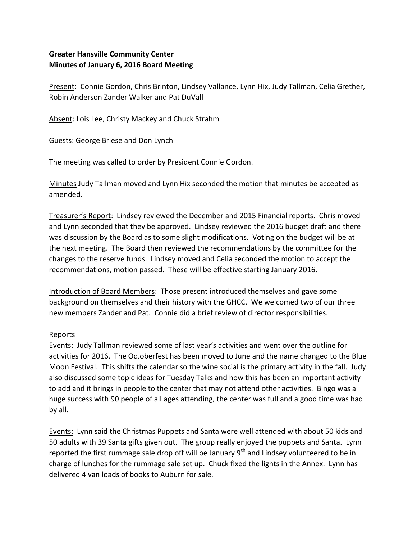## **Greater Hansville Community Center Minutes of January 6, 2016 Board Meeting**

Present: Connie Gordon, Chris Brinton, Lindsey Vallance, Lynn Hix, Judy Tallman, Celia Grether, Robin Anderson Zander Walker and Pat DuVall

Absent: Lois Lee, Christy Mackey and Chuck Strahm

Guests: George Briese and Don Lynch

The meeting was called to order by President Connie Gordon.

Minutes Judy Tallman moved and Lynn Hix seconded the motion that minutes be accepted as amended.

Treasurer's Report: Lindsey reviewed the December and 2015 Financial reports. Chris moved and Lynn seconded that they be approved. Lindsey reviewed the 2016 budget draft and there was discussion by the Board as to some slight modifications. Voting on the budget will be at the next meeting. The Board then reviewed the recommendations by the committee for the changes to the reserve funds. Lindsey moved and Celia seconded the motion to accept the recommendations, motion passed. These will be effective starting January 2016.

Introduction of Board Members: Those present introduced themselves and gave some background on themselves and their history with the GHCC. We welcomed two of our three new members Zander and Pat. Connie did a brief review of director responsibilities.

## Reports

Events: Judy Tallman reviewed some of last year's activities and went over the outline for activities for 2016. The Octoberfest has been moved to June and the name changed to the Blue Moon Festival. This shifts the calendar so the wine social is the primary activity in the fall. Judy also discussed some topic ideas for Tuesday Talks and how this has been an important activity to add and it brings in people to the center that may not attend other activities. Bingo was a huge success with 90 people of all ages attending, the center was full and a good time was had by all.

Events: Lynn said the Christmas Puppets and Santa were well attended with about 50 kids and 50 adults with 39 Santa gifts given out. The group really enjoyed the puppets and Santa. Lynn reported the first rummage sale drop off will be January 9<sup>th</sup> and Lindsey volunteered to be in charge of lunches for the rummage sale set up. Chuck fixed the lights in the Annex. Lynn has delivered 4 van loads of books to Auburn for sale.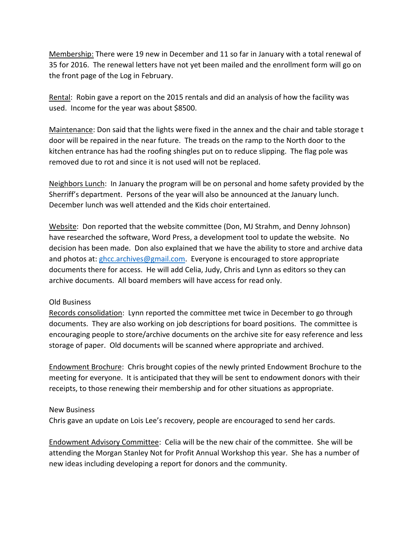Membership: There were 19 new in December and 11 so far in January with a total renewal of 35 for 2016. The renewal letters have not yet been mailed and the enrollment form will go on the front page of the Log in February.

Rental: Robin gave a report on the 2015 rentals and did an analysis of how the facility was used. Income for the year was about \$8500.

Maintenance: Don said that the lights were fixed in the annex and the chair and table storage t door will be repaired in the near future. The treads on the ramp to the North door to the kitchen entrance has had the roofing shingles put on to reduce slipping. The flag pole was removed due to rot and since it is not used will not be replaced.

Neighbors Lunch: In January the program will be on personal and home safety provided by the Sherriff's department. Persons of the year will also be announced at the January lunch. December lunch was well attended and the Kids choir entertained.

Website: Don reported that the website committee (Don, MJ Strahm, and Denny Johnson) have researched the software, Word Press, a development tool to update the website. No decision has been made. Don also explained that we have the ability to store and archive data and photos at: [ghcc.archives@gmail.com.](mailto:ghcc.archives@gmail.com) Everyone is encouraged to store appropriate documents there for access. He will add Celia, Judy, Chris and Lynn as editors so they can archive documents. All board members will have access for read only.

## Old Business

Records consolidation: Lynn reported the committee met twice in December to go through documents. They are also working on job descriptions for board positions. The committee is encouraging people to store/archive documents on the archive site for easy reference and less storage of paper. Old documents will be scanned where appropriate and archived.

Endowment Brochure: Chris brought copies of the newly printed Endowment Brochure to the meeting for everyone. It is anticipated that they will be sent to endowment donors with their receipts, to those renewing their membership and for other situations as appropriate.

## New Business

Chris gave an update on Lois Lee's recovery, people are encouraged to send her cards.

Endowment Advisory Committee: Celia will be the new chair of the committee. She will be attending the Morgan Stanley Not for Profit Annual Workshop this year. She has a number of new ideas including developing a report for donors and the community.